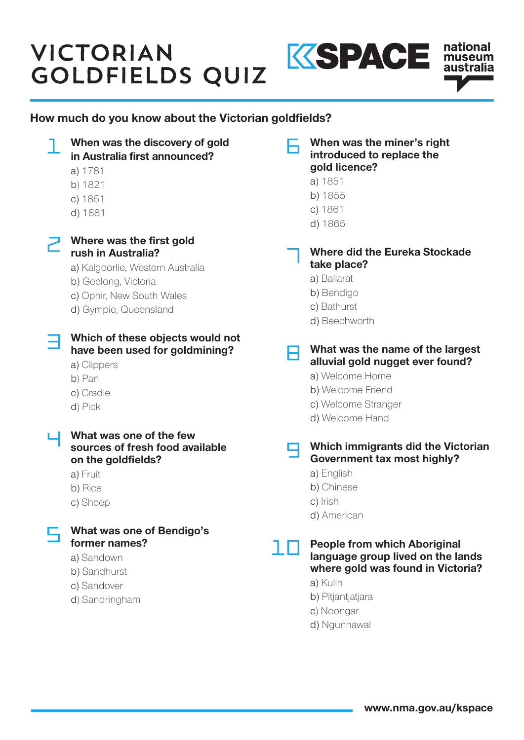## VICTORIAN SOLDFIELDS QUIZ KSPACE



When was the discovery of gold When was the miner's right introduced to replace the in Australia first announced? gold licence? a) 1781 a) 1851 b) 1821 b) 1855 c) 1851 c) 1861 d) 1881 d) 1865  $\overline{\phantom{a}}$  Where was the first gold Where did the Eureka Stockade rush in Australia? take place? a) Kalgoorlie, Western Australia a) Ballarat b) Geelong, Victoria b) Bendigo c) Ophir, New South Wales c) Bathurst d) Gympie, Queensland d) Beechworth Which of these objects would not What was the name of the largest have been used for goldmining? H alluvial gold nugget ever found? a) Clippers a) Welcome Home b) Pan b) Welcome Friend c) Cradle c) Welcome Stranger d) Pick d) Welcome Hand **L** What was one of the few sources of fresh food available Which immigrants did the Victorian Government tax most highly? on the goldfields? a) English a) Fruit b) Chinese b) Rice c) Irish c) Sheep d) American What was one of Bendigo's former names? People from which Aboriginal חו language group lived on the lands a) Sandown where gold was found in Victoria? b) Sandhurst a) Kulin c) Sandover b) Pitjantjatjara d) Sandringham c) Noongar d) Ngunnawal

national museum australia